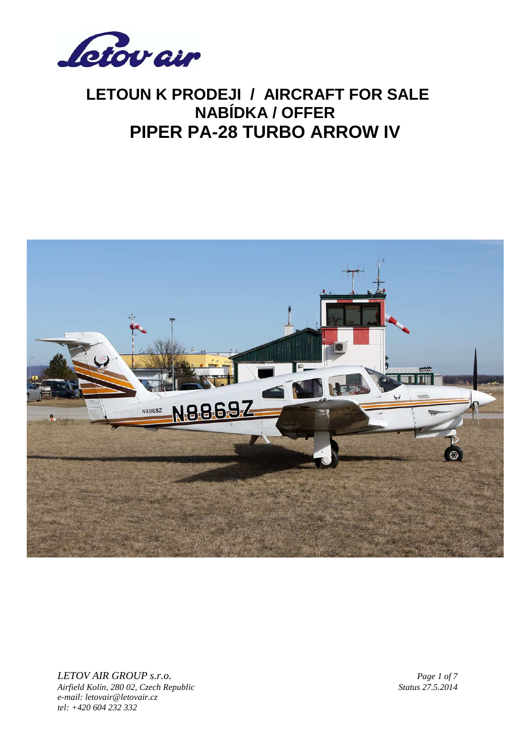



*LETOV AIR GROUP s.r.o. Page 1 of 7 Airfield Kolín, 280 02, Czech Republic Status 27.5.2014 e-mail: letovair@letovair.cz tel: +420 604 232 332*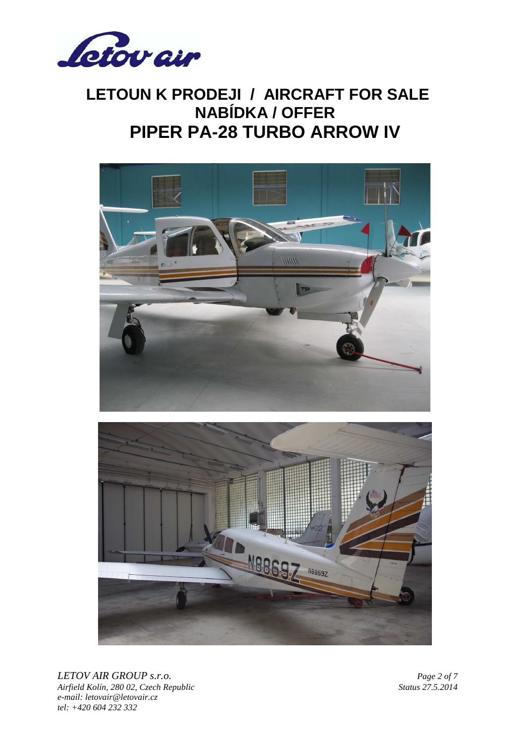





*LETOV AIR GROUP s.r.o. Page 2 of 7 Airfield Kolín, 280 02, Czech Republic Status 27.5.2014 e-mail: letovair@letovair.cz tel: +420 604 232 332*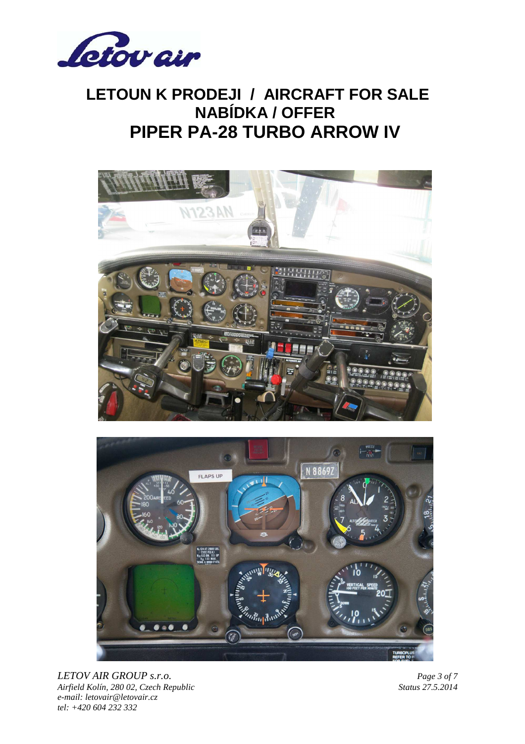





*LETOV AIR GROUP s.r.o. Page 3 of 7 Airfield Kolín, 280 02, Czech Republic Status 27.5.2014 e-mail: letovair@letovair.cz tel: +420 604 232 332*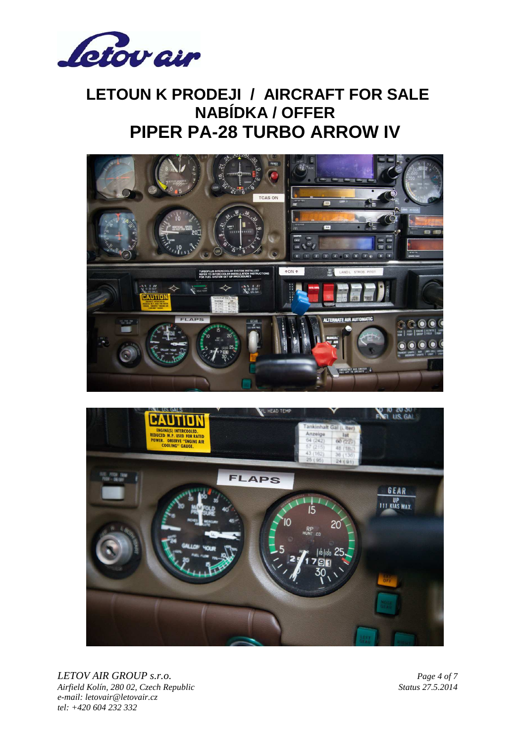





*LETOV AIR GROUP s.r.o. Page 4 of 7 Airfield Kolín, 280 02, Czech Republic Status 27.5.2014 e-mail: letovair@letovair.cz tel: +420 604 232 332*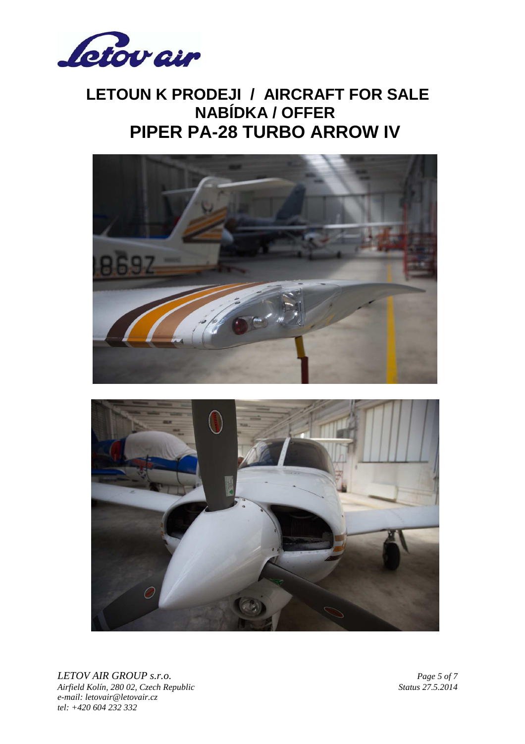





*LETOV AIR GROUP s.r.o. Page 5 of 7 Airfield Kolín, 280 02, Czech Republic Status 27.5.2014 e-mail: letovair@letovair.cz tel: +420 604 232 332*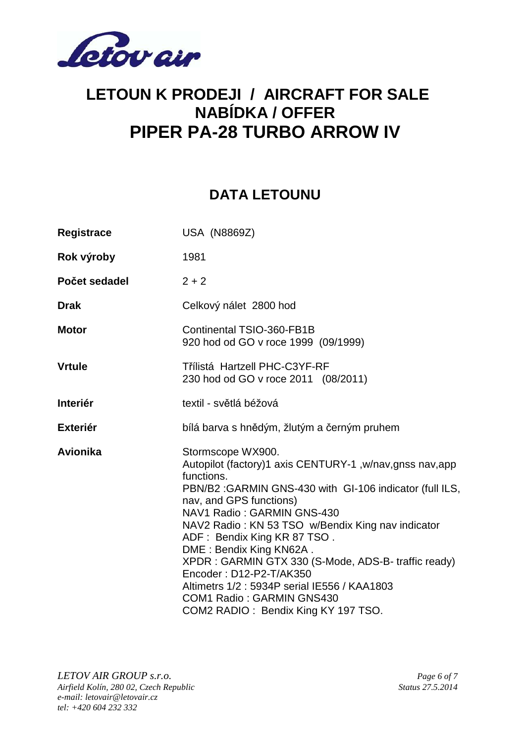

#### **DATA LETOUNU**

| Registrace      | <b>USA (N8869Z)</b>                                                                                                                                                                                                                                                                                                                                                                                                                                                                                                                   |
|-----------------|---------------------------------------------------------------------------------------------------------------------------------------------------------------------------------------------------------------------------------------------------------------------------------------------------------------------------------------------------------------------------------------------------------------------------------------------------------------------------------------------------------------------------------------|
| Rok výroby      | 1981                                                                                                                                                                                                                                                                                                                                                                                                                                                                                                                                  |
| Počet sedadel   | $2 + 2$                                                                                                                                                                                                                                                                                                                                                                                                                                                                                                                               |
| <b>Drak</b>     | Celkový nálet 2800 hod                                                                                                                                                                                                                                                                                                                                                                                                                                                                                                                |
| <b>Motor</b>    | Continental TSIO-360-FB1B<br>920 hod od GO v roce 1999 (09/1999)                                                                                                                                                                                                                                                                                                                                                                                                                                                                      |
| <b>Vrtule</b>   | Třílistá Hartzell PHC-C3YF-RF<br>230 hod od GO v roce 2011 (08/2011)                                                                                                                                                                                                                                                                                                                                                                                                                                                                  |
| <b>Interiér</b> | textil - světlá béžová                                                                                                                                                                                                                                                                                                                                                                                                                                                                                                                |
| <b>Exteriér</b> | bílá barva s hnědým, žlutým a černým pruhem                                                                                                                                                                                                                                                                                                                                                                                                                                                                                           |
| Avionika        | Stormscope WX900.<br>Autopilot (factory)1 axis CENTURY-1, w/nav, gnss nav, app<br>functions.<br>PBN/B2: GARMIN GNS-430 with GI-106 indicator (full ILS,<br>nav, and GPS functions)<br>NAV1 Radio: GARMIN GNS-430<br>NAV2 Radio: KN 53 TSO w/Bendix King nav indicator<br>ADF: Bendix King KR 87 TSO.<br>DME: Bendix King KN62A.<br>XPDR : GARMIN GTX 330 (S-Mode, ADS-B- traffic ready)<br>Encoder: D12-P2-T/AK350<br>Altimetrs 1/2: 5934P serial IE556 / KAA1803<br>COM1 Radio: GARMIN GNS430<br>COM2 RADIO: Bendix King KY 197 TSO. |